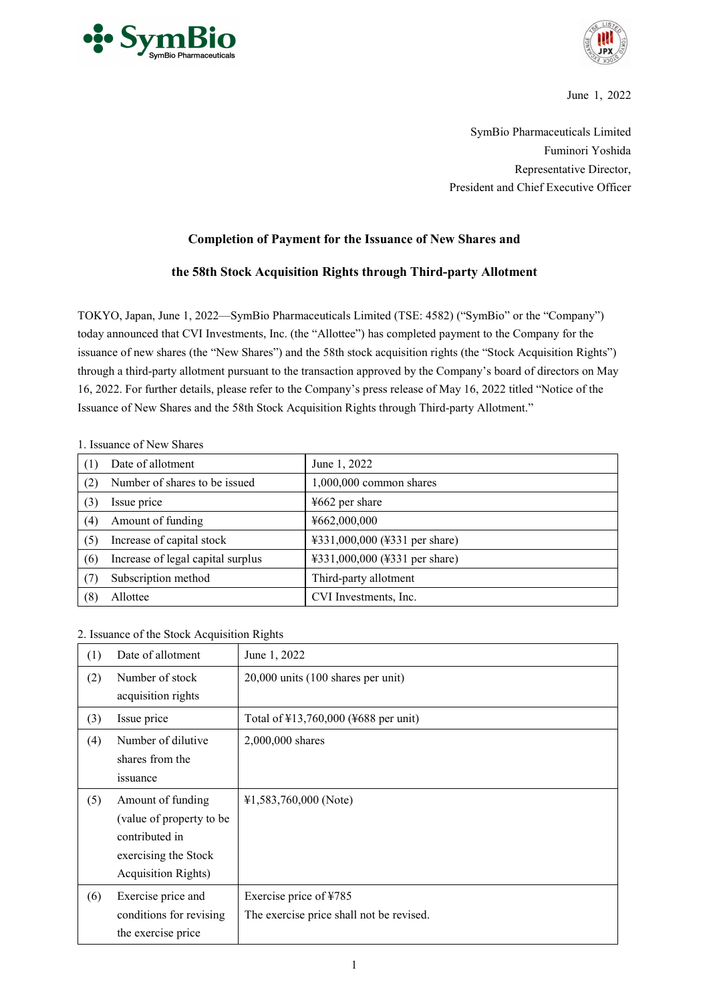



June 1, 2022

SymBio Pharmaceuticals Limited Fuminori Yoshida Representative Director, President and Chief Executive Officer

## **Completion of Payment for the Issuance of New Shares and**

## **the 58th Stock Acquisition Rights through Third-party Allotment**

TOKYO, Japan, June 1, 2022—SymBio Pharmaceuticals Limited (TSE: 4582) ("SymBio" or the "Company") today announced that CVI Investments, Inc. (the "Allottee") has completed payment to the Company for the issuance of new shares (the "New Shares") and the 58th stock acquisition rights (the "Stock Acquisition Rights") through a third-party allotment pursuant to the transaction approved by the Company's board of directors on May 16, 2022. For further details, please refer to the Company's press release of May 16, 2022 titled "Notice of the Issuance of New Shares and the 58th Stock Acquisition Rights through Third-party Allotment."

## 1. Issuance of New Shares

| (1) | Date of allotment                 | June 1, 2022                  |  |  |
|-----|-----------------------------------|-------------------------------|--|--|
| (2) | Number of shares to be issued     | $1,000,000$ common shares     |  |  |
| (3) | Issue price                       | $4662$ per share              |  |  |
| (4) | Amount of funding                 | ¥662,000,000                  |  |  |
| (5) | Increase of capital stock         | ¥331,000,000 (¥331 per share) |  |  |
| (6) | Increase of legal capital surplus | ¥331,000,000 (¥331 per share) |  |  |
| (7) | Subscription method               | Third-party allotment         |  |  |
| (8) | Allottee                          | CVI Investments, Inc.         |  |  |

2. Issuance of the Stock Acquisition Rights

| (1) | Date of allotment                                                                                                       | June 1, 2022                                                       |
|-----|-------------------------------------------------------------------------------------------------------------------------|--------------------------------------------------------------------|
| (2) | Number of stock<br>acquisition rights                                                                                   | 20,000 units (100 shares per unit)                                 |
| (3) | Issue price                                                                                                             | Total of ¥13,760,000 (¥688 per unit)                               |
| (4) | Number of dilutive<br>shares from the<br>issuance                                                                       | 2,000,000 shares                                                   |
| (5) | Amount of funding<br>(value of property to be)<br>contributed in<br>exercising the Stock<br><b>Acquisition Rights</b> ) | $41,583,760,000$ (Note)                                            |
| (6) | Exercise price and<br>conditions for revising<br>the exercise price                                                     | Exercise price of ¥785<br>The exercise price shall not be revised. |